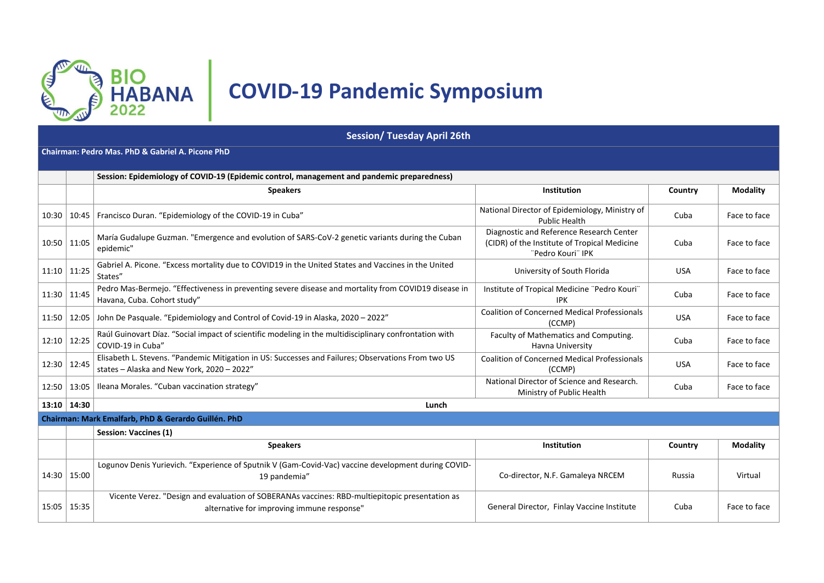

# **COVID-19 Pandemic Symposium**

**Session/ Tuesday April 26th**

**Chairman: Pedro Mas. PhD & Gabriel A. Picone PhD**

|                 | Session: Epidemiology of COVID-19 (Epidemic control, management and pandemic preparedness) |                                                                                                                                                                                                                               |                                                                         |            |                 |  |
|-----------------|--------------------------------------------------------------------------------------------|-------------------------------------------------------------------------------------------------------------------------------------------------------------------------------------------------------------------------------|-------------------------------------------------------------------------|------------|-----------------|--|
|                 |                                                                                            | <b>Speakers</b>                                                                                                                                                                                                               | Institution                                                             | Country    | <b>Modality</b> |  |
|                 | $10:30$   10:45                                                                            | Francisco Duran. "Epidemiology of the COVID-19 in Cuba"                                                                                                                                                                       | National Director of Epidemiology, Ministry of<br><b>Public Health</b>  | Cuba       | Face to face    |  |
| $10:50$   11:05 |                                                                                            | Diagnostic and Reference Research Center<br>María Gudalupe Guzman. "Emergence and evolution of SARS-CoV-2 genetic variants during the Cuban<br>(CIDR) of the Institute of Tropical Medicine<br>epidemic"<br>"Pedro Kouri" IPK |                                                                         | Cuba       | Face to face    |  |
| $11:10$ 11:25   |                                                                                            | Gabriel A. Picone. "Excess mortality due to COVID19 in the United States and Vaccines in the United<br>University of South Florida<br>States"                                                                                 |                                                                         | <b>USA</b> | Face to face    |  |
| $11:30$   11:45 |                                                                                            | Pedro Mas-Bermejo. "Effectiveness in preventing severe disease and mortality from COVID19 disease in<br>Institute of Tropical Medicine "Pedro Kouri"<br>Havana, Cuba. Cohort study"<br><b>IPK</b>                             |                                                                         | Cuba       | Face to face    |  |
|                 |                                                                                            | 11:50   12:05   John De Pasquale. "Epidemiology and Control of Covid-19 in Alaska, 2020 – 2022"                                                                                                                               | <b>Coalition of Concerned Medical Professionals</b><br>(CCMP)           | <b>USA</b> | Face to face    |  |
|                 | $12:10$   12:25                                                                            | Raúl Guinovart Díaz. "Social impact of scientific modeling in the multidisciplinary confrontation with<br>COVID-19 in Cuba"                                                                                                   | Faculty of Mathematics and Computing.<br>Havna University               | Cuba       | Face to face    |  |
|                 | 12:30   12:45                                                                              | Elisabeth L. Stevens. "Pandemic Mitigation in US: Successes and Failures; Observations From two US<br>states - Alaska and New York, 2020 - 2022"                                                                              | <b>Coalition of Concerned Medical Professionals</b><br>(CCMP)           | <b>USA</b> | Face to face    |  |
|                 | 12:50   13:05                                                                              | lleana Morales. "Cuban vaccination strategy"                                                                                                                                                                                  | National Director of Science and Research.<br>Ministry of Public Health | Cuba       | Face to face    |  |
|                 | $13:10$ 14:30                                                                              | Lunch                                                                                                                                                                                                                         |                                                                         |            |                 |  |
|                 |                                                                                            | Chairman: Mark Emalfarb, PhD & Gerardo Guillén. PhD                                                                                                                                                                           |                                                                         |            |                 |  |
|                 |                                                                                            | <b>Session: Vaccines (1)</b>                                                                                                                                                                                                  |                                                                         |            |                 |  |
|                 |                                                                                            | <b>Speakers</b>                                                                                                                                                                                                               | Institution                                                             | Country    | <b>Modality</b> |  |
|                 | 14:30   15:00                                                                              | Logunov Denis Yurievich. "Experience of Sputnik V (Gam-Covid-Vac) vaccine development during COVID-<br>19 pandemia"                                                                                                           | Co-director, N.F. Gamaleya NRCEM                                        | Russia     | Virtual         |  |
| $15:05$   15:35 |                                                                                            | Vicente Verez. "Design and evaluation of SOBERANAs vaccines: RBD-multiepitopic presentation as<br>alternative for improving immune response"                                                                                  | General Director, Finlay Vaccine Institute                              | Cuba       | Face to face    |  |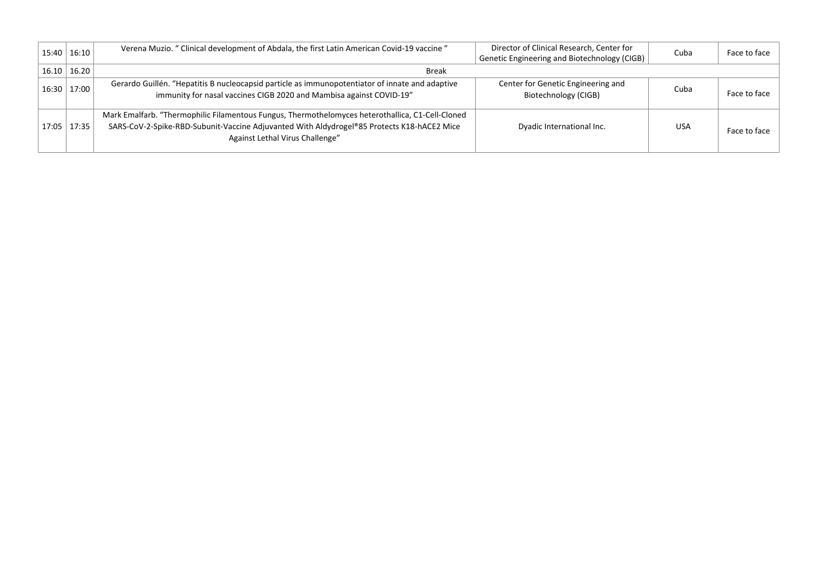| 15:40 16:10             | Verena Muzio. " Clinical development of Abdala, the first Latin American Covid-19 vaccine "                                                                                                                                       | Director of Clinical Research, Center for<br>Genetic Engineering and Biotechnology (CIGB) | Cuba       | Face to face |
|-------------------------|-----------------------------------------------------------------------------------------------------------------------------------------------------------------------------------------------------------------------------------|-------------------------------------------------------------------------------------------|------------|--------------|
| $16.10 \mid 16.20 \mid$ | <b>Break</b>                                                                                                                                                                                                                      |                                                                                           |            |              |
| 16:30 17:00             | Gerardo Guillén. "Hepatitis B nucleocapsid particle as immunopotentiator of innate and adaptive<br>immunity for nasal vaccines CIGB 2020 and Mambisa against COVID-19"                                                            | Center for Genetic Engineering and<br>Biotechnology (CIGB)                                | Cuba       | Face to face |
| $17:05$   17:35         | Mark Emalfarb. "Thermophilic Filamentous Fungus, Thermothelomyces heterothallica, C1-Cell-Cloned<br>SARS-CoV-2-Spike-RBD-Subunit-Vaccine Adjuvanted With Aldydrogel®85 Protects K18-hACE2 Mice<br>Against Lethal Virus Challenge" | Dyadic International Inc.                                                                 | <b>USA</b> | Face to face |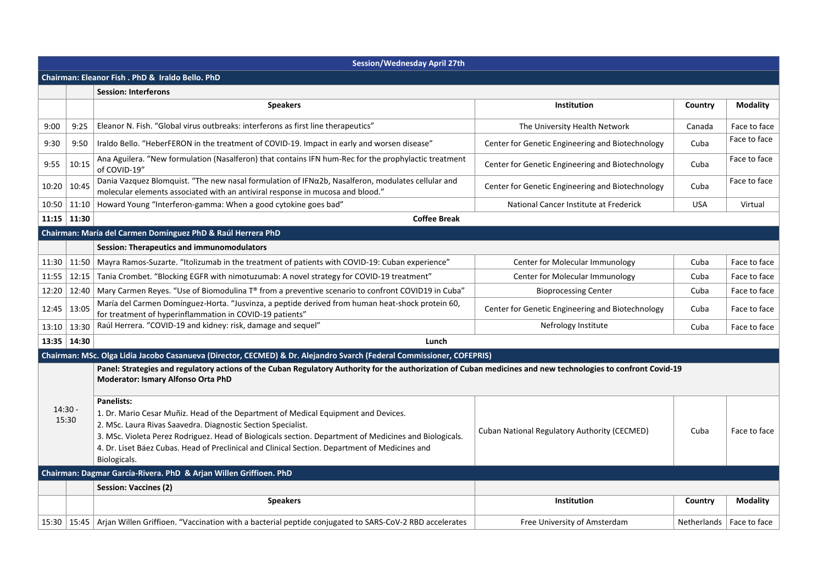|       | <b>Session/Wednesday April 27th</b> |                                                                                                                                                                                                                                                                                                                                                                                                     |                                                  |             |                 |  |  |
|-------|-------------------------------------|-----------------------------------------------------------------------------------------------------------------------------------------------------------------------------------------------------------------------------------------------------------------------------------------------------------------------------------------------------------------------------------------------------|--------------------------------------------------|-------------|-----------------|--|--|
|       |                                     | Chairman: Eleanor Fish . PhD & Iraldo Bello. PhD                                                                                                                                                                                                                                                                                                                                                    |                                                  |             |                 |  |  |
|       |                                     | <b>Session: Interferons</b>                                                                                                                                                                                                                                                                                                                                                                         |                                                  |             |                 |  |  |
|       |                                     | <b>Speakers</b>                                                                                                                                                                                                                                                                                                                                                                                     | Institution                                      | Country     | <b>Modality</b> |  |  |
| 9:00  | 9:25                                | Eleanor N. Fish. "Global virus outbreaks: interferons as first line therapeutics"                                                                                                                                                                                                                                                                                                                   | The University Health Network                    | Canada      | Face to face    |  |  |
| 9:30  | 9:50                                | Iraldo Bello. "HeberFERON in the treatment of COVID-19. Impact in early and worsen disease"                                                                                                                                                                                                                                                                                                         | Center for Genetic Engineering and Biotechnology | Cuba        | Face to face    |  |  |
| 9:55  | 10:15                               | Ana Aguilera. "New formulation (Nasalferon) that contains IFN hum-Rec for the prophylactic treatment<br>of COVID-19"                                                                                                                                                                                                                                                                                | Center for Genetic Engineering and Biotechnology | Cuba        | Face to face    |  |  |
| 10:20 | 10:45                               | Dania Vazquez Blomquist. "The new nasal formulation of IFNα2b, Nasalferon, modulates cellular and<br>Center for Genetic Engineering and Biotechnology<br>molecular elements associated with an antiviral response in mucosa and blood."                                                                                                                                                             |                                                  | Cuba        | Face to face    |  |  |
| 10:50 | 11:10                               | Howard Young "Interferon-gamma: When a good cytokine goes bad"<br>National Cancer Institute at Frederick                                                                                                                                                                                                                                                                                            |                                                  | <b>USA</b>  | Virtual         |  |  |
|       | $11:15$ 11:30                       | <b>Coffee Break</b>                                                                                                                                                                                                                                                                                                                                                                                 |                                                  |             |                 |  |  |
|       |                                     | Chairman: María del Carmen Domínguez PhD & Raúl Herrera PhD                                                                                                                                                                                                                                                                                                                                         |                                                  |             |                 |  |  |
|       |                                     | <b>Session: Therapeutics and immunomodulators</b>                                                                                                                                                                                                                                                                                                                                                   |                                                  |             |                 |  |  |
| 11:30 | 11:50                               | Mayra Ramos-Suzarte. "Itolizumab in the treatment of patients with COVID-19: Cuban experience"                                                                                                                                                                                                                                                                                                      | Center for Molecular Immunology                  | Cuba        | Face to face    |  |  |
| 11:55 | 12:15                               | Tania Crombet. "Blocking EGFR with nimotuzumab: A novel strategy for COVID-19 treatment"                                                                                                                                                                                                                                                                                                            | Center for Molecular Immunology                  | Cuba        | Face to face    |  |  |
| 12:20 | 12:40                               | Mary Carmen Reyes. "Use of Biomodulina T® from a preventive scenario to confront COVID19 in Cuba"                                                                                                                                                                                                                                                                                                   | <b>Bioprocessing Center</b>                      | Cuba        | Face to face    |  |  |
| 12:45 | 13:05                               | María del Carmen Domínguez-Horta. "Jusvinza, a peptide derived from human heat-shock protein 60,<br>for treatment of hyperinflammation in COVID-19 patients"                                                                                                                                                                                                                                        | Center for Genetic Engineering and Biotechnology | Cuba        | Face to face    |  |  |
| 13:10 | 13:30                               | Raúl Herrera. "COVID-19 and kidney: risk, damage and sequel"                                                                                                                                                                                                                                                                                                                                        | Nefrology Institute                              | Cuba        | Face to face    |  |  |
|       | 13:35   14:30                       | Lunch                                                                                                                                                                                                                                                                                                                                                                                               |                                                  |             |                 |  |  |
|       |                                     | Chairman: MSc. Olga Lidia Jacobo Casanueva (Director, CECMED) & Dr. Alejandro Svarch (Federal Commissioner, COFEPRIS)                                                                                                                                                                                                                                                                               |                                                  |             |                 |  |  |
|       |                                     | Panel: Strategies and regulatory actions of the Cuban Regulatory Authority for the authorization of Cuban medicines and new technologies to confront Covid-19<br>Moderator: Ismary Alfonso Orta PhD                                                                                                                                                                                                 |                                                  |             |                 |  |  |
|       | $14:30 -$<br>15:30                  | <b>Panelists:</b><br>1. Dr. Mario Cesar Muñiz. Head of the Department of Medical Equipment and Devices.<br>2. MSc. Laura Rivas Saavedra. Diagnostic Section Specialist.<br>3. MSc. Violeta Perez Rodriguez. Head of Biologicals section. Department of Medicines and Biologicals.<br>4. Dr. Liset Báez Cubas. Head of Preclinical and Clinical Section. Department of Medicines and<br>Biologicals. | Cuban National Regulatory Authority (CECMED)     | Cuba        | Face to face    |  |  |
|       |                                     | Chairman: Dagmar García-Rivera. PhD & Arjan Willen Griffioen. PhD                                                                                                                                                                                                                                                                                                                                   |                                                  |             |                 |  |  |
|       |                                     | <b>Session: Vaccines (2)</b>                                                                                                                                                                                                                                                                                                                                                                        |                                                  |             |                 |  |  |
|       |                                     | <b>Speakers</b>                                                                                                                                                                                                                                                                                                                                                                                     | <b>Institution</b>                               | Country     | <b>Modality</b> |  |  |
| 15:30 |                                     | 15:45   Arjan Willen Griffioen. "Vaccination with a bacterial peptide conjugated to SARS-CoV-2 RBD accelerates                                                                                                                                                                                                                                                                                      | Free University of Amsterdam                     | Netherlands | Face to face    |  |  |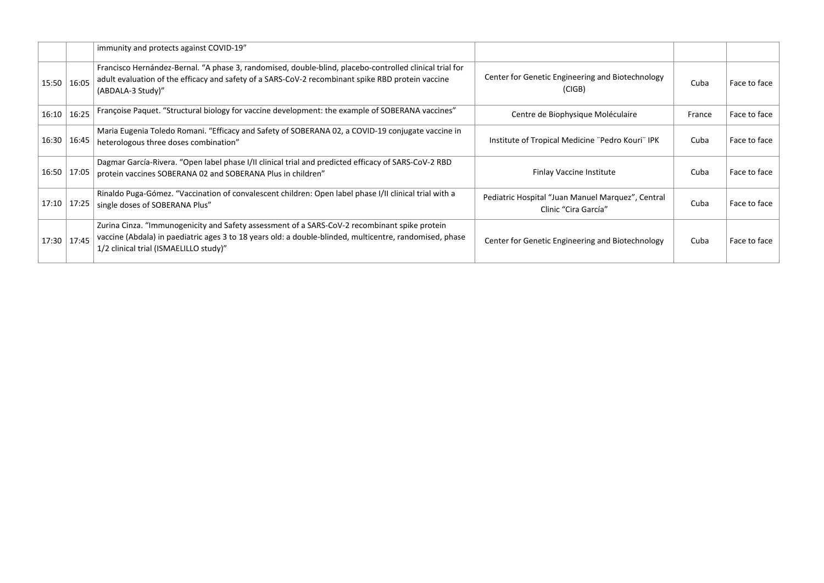|               |               | immunity and protects against COVID-19"                                                                                                                                                                                                            |                                                                           |        |              |
|---------------|---------------|----------------------------------------------------------------------------------------------------------------------------------------------------------------------------------------------------------------------------------------------------|---------------------------------------------------------------------------|--------|--------------|
|               | 15:50   16:05 | Francisco Hernández-Bernal. "A phase 3, randomised, double-blind, placebo-controlled clinical trial for<br>adult evaluation of the efficacy and safety of a SARS-CoV-2 recombinant spike RBD protein vaccine<br>(ABDALA-3 Study)"                  | Center for Genetic Engineering and Biotechnology<br>(CIGB)                | Cuba   | Face to face |
|               | 16:10   16:25 | Françoise Paquet. "Structural biology for vaccine development: the example of SOBERANA vaccines"<br>Centre de Biophysique Moléculaire                                                                                                              |                                                                           | France | Face to face |
|               | 16:30   16:45 | Maria Eugenia Toledo Romani. "Efficacy and Safety of SOBERANA 02, a COVID-19 conjugate vaccine in<br>heterologous three doses combination"                                                                                                         | Institute of Tropical Medicine "Pedro Kouri" IPK                          | Cuba   | Face to face |
|               | 16:50   17:05 | Dagmar García-Rivera. "Open label phase I/II clinical trial and predicted efficacy of SARS-CoV-2 RBD<br>protein vaccines SOBERANA 02 and SOBERANA Plus in children"                                                                                | Finlay Vaccine Institute                                                  | Cuba   | Face to face |
| 17:10   17:25 |               | Rinaldo Puga-Gómez. "Vaccination of convalescent children: Open label phase I/II clinical trial with a<br>single doses of SOBERANA Plus"                                                                                                           | Pediatric Hospital "Juan Manuel Marquez", Central<br>Clinic "Cira García" | Cuba   | Face to face |
|               | 17:30   17:45 | Zurina Cinza. "Immunogenicity and Safety assessment of a SARS-CoV-2 recombinant spike protein<br>vaccine (Abdala) in paediatric ages 3 to 18 years old: a double-blinded, multicentre, randomised, phase<br>1/2 clinical trial (ISMAELILLO study)" | Center for Genetic Engineering and Biotechnology                          | Cuba   | Face to face |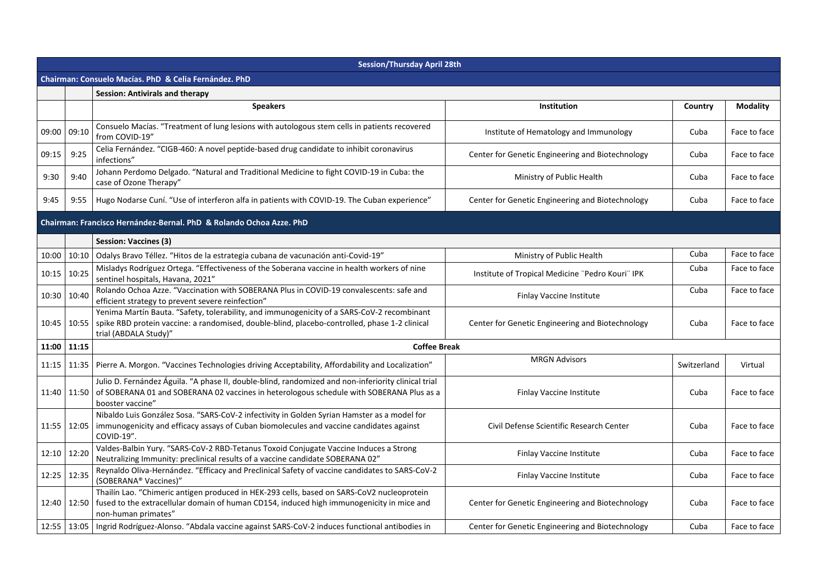|       | <b>Session/Thursday April 28th</b> |                                                                                                                                                                                                                            |                                                  |             |                 |  |
|-------|------------------------------------|----------------------------------------------------------------------------------------------------------------------------------------------------------------------------------------------------------------------------|--------------------------------------------------|-------------|-----------------|--|
|       |                                    | Chairman: Consuelo Macías. PhD & Celia Fernández. PhD                                                                                                                                                                      |                                                  |             |                 |  |
|       |                                    | <b>Session: Antivirals and therapy</b>                                                                                                                                                                                     |                                                  |             |                 |  |
|       |                                    | <b>Speakers</b>                                                                                                                                                                                                            | Institution                                      | Country     | <b>Modality</b> |  |
| 09:00 | 09:10                              | Consuelo Macías. "Treatment of lung lesions with autologous stem cells in patients recovered<br>from COVID-19"                                                                                                             | Institute of Hematology and Immunology           | Cuba        | Face to face    |  |
| 09:15 | 9:25                               | Celia Fernández. "CIGB-460: A novel peptide-based drug candidate to inhibit coronavirus<br>infections"                                                                                                                     | Center for Genetic Engineering and Biotechnology | Cuba        | Face to face    |  |
| 9:30  | 9:40                               | Johann Perdomo Delgado. "Natural and Traditional Medicine to fight COVID-19 in Cuba: the<br>case of Ozone Therapy"                                                                                                         | Ministry of Public Health                        | Cuba        | Face to face    |  |
| 9:45  | 9:55                               | Hugo Nodarse Cuní. "Use of interferon alfa in patients with COVID-19. The Cuban experience"                                                                                                                                | Center for Genetic Engineering and Biotechnology | Cuba        | Face to face    |  |
|       |                                    | Chairman: Francisco Hernández-Bernal, PhD & Rolando Ochoa Azze, PhD                                                                                                                                                        |                                                  |             |                 |  |
|       |                                    | Session: Vaccines (3)                                                                                                                                                                                                      |                                                  |             |                 |  |
| 10:00 | 10:10                              | Odalys Bravo Téllez. "Hitos de la estrategia cubana de vacunación anti-Covid-19"                                                                                                                                           | Ministry of Public Health                        | Cuba        | Face to face    |  |
| 10:15 | 10:25                              | Misladys Rodríguez Ortega. "Effectiveness of the Soberana vaccine in health workers of nine<br>sentinel hospitals, Havana, 2021"                                                                                           | Institute of Tropical Medicine "Pedro Kouri" IPK | Cuba        | Face to face    |  |
| 10:30 | 10:40                              | Rolando Ochoa Azze. "Vaccination with SOBERANA Plus in COVID-19 convalescents: safe and<br>efficient strategy to prevent severe reinfection"                                                                               | <b>Finlay Vaccine Institute</b>                  | Cuba        | Face to face    |  |
| 10:45 | 10:55                              | Yenima Martín Bauta. "Safety, tolerability, and immunogenicity of a SARS-CoV-2 recombinant<br>spike RBD protein vaccine: a randomised, double-blind, placebo-controlled, phase 1-2 clinical<br>trial (ABDALA Study)"       | Center for Genetic Engineering and Biotechnology | Cuba        | Face to face    |  |
|       | 11:00 11:15                        | <b>Coffee Break</b>                                                                                                                                                                                                        |                                                  |             |                 |  |
| 11:15 |                                    | 11:35   Pierre A. Morgon. "Vaccines Technologies driving Acceptability, Affordability and Localization"                                                                                                                    | <b>MRGN Advisors</b>                             | Switzerland | Virtual         |  |
| 11:40 | 11:50                              | Julio D. Fernández Águila. "A phase II, double-blind, randomized and non-inferiority clinical trial<br>of SOBERANA 01 and SOBERANA 02 vaccines in heterologous schedule with SOBERANA Plus as a<br>booster vaccine"        | <b>Finlay Vaccine Institute</b>                  | Cuba        | Face to face    |  |
|       |                                    | Nibaldo Luis González Sosa. "SARS-CoV-2 infectivity in Golden Syrian Hamster as a model for<br>11:55   12:05   immunogenicity and efficacy assays of Cuban biomolecules and vaccine candidates against<br>COVID-19".       | Civil Defense Scientific Research Center         | Cuba        | Face to face    |  |
| 12:10 | 12:20                              | Valdes-Balbin Yury. "SARS-CoV-2 RBD-Tetanus Toxoid Conjugate Vaccine Induces a Strong<br>Neutralizing Immunity: preclinical results of a vaccine candidate SOBERANA 02"                                                    | <b>Finlay Vaccine Institute</b>                  | Cuba        | Face to face    |  |
| 12:25 | 12:35                              | Reynaldo Oliva-Hernández. "Efficacy and Preclinical Safety of vaccine candidates to SARS-CoV-2<br>(SOBERANA® Vaccines)"                                                                                                    | Finlay Vaccine Institute                         | Cuba        | Face to face    |  |
|       |                                    | Thailín Lao. "Chimeric antigen produced in HEK-293 cells, based on SARS-CoV2 nucleoprotein<br>12:40 12:50 fused to the extracellular domain of human CD154, induced high immunogenicity in mice and<br>non-human primates" | Center for Genetic Engineering and Biotechnology | Cuba        | Face to face    |  |
|       |                                    | 12:55   13:05   Ingrid Rodríguez-Alonso. "Abdala vaccine against SARS-CoV-2 induces functional antibodies in                                                                                                               | Center for Genetic Engineering and Biotechnology | Cuba        | Face to face    |  |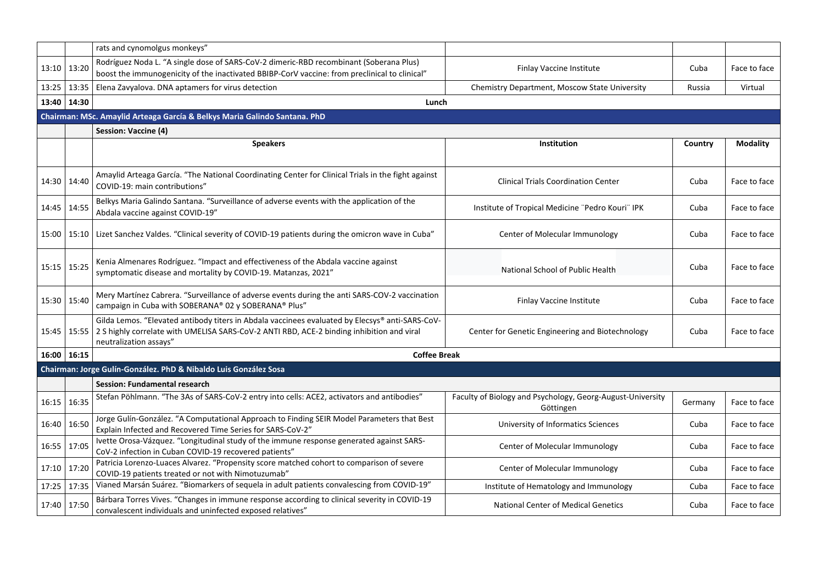|             |             | rats and cynomolgus monkeys"                                                                                                                                                                 |                                                            |         |                 |
|-------------|-------------|----------------------------------------------------------------------------------------------------------------------------------------------------------------------------------------------|------------------------------------------------------------|---------|-----------------|
|             |             | Rodríguez Noda L. "A single dose of SARS-CoV-2 dimeric-RBD recombinant (Soberana Plus)                                                                                                       |                                                            |         |                 |
| 13:10       | 13:20       | boost the immunogenicity of the inactivated BBIBP-CorV vaccine: from preclinical to clinical"                                                                                                | Finlay Vaccine Institute                                   | Cuba    | Face to face    |
| 13:25       | 13:35       | Elena Zavyalova. DNA aptamers for virus detection                                                                                                                                            | <b>Chemistry Department, Moscow State University</b>       | Russia  | Virtual         |
| 13:40       | 14:30       | Lunch                                                                                                                                                                                        |                                                            |         |                 |
|             |             | Chairman: MSc. Amaylid Arteaga García & Belkys Maria Galindo Santana. PhD                                                                                                                    |                                                            |         |                 |
|             |             | <b>Session: Vaccine (4)</b>                                                                                                                                                                  |                                                            |         |                 |
|             |             | <b>Speakers</b>                                                                                                                                                                              | Institution                                                | Country | <b>Modality</b> |
|             |             |                                                                                                                                                                                              |                                                            |         |                 |
|             |             | Amaylid Arteaga García. "The National Coordinating Center for Clinical Trials in the fight against                                                                                           |                                                            |         |                 |
| 14:30       | 14:40       | COVID-19: main contributions"                                                                                                                                                                | <b>Clinical Trials Coordination Center</b>                 | Cuba    | Face to face    |
|             |             | Belkys Maria Galindo Santana. "Surveillance of adverse events with the application of the                                                                                                    |                                                            |         |                 |
| 14:45       | 14:55       | Abdala vaccine against COVID-19"                                                                                                                                                             | Institute of Tropical Medicine "Pedro Kouri" IPK           | Cuba    | Face to face    |
| 15:00       |             | 15:10 Lizet Sanchez Valdes. "Clinical severity of COVID-19 patients during the omicron wave in Cuba"                                                                                         | Center of Molecular Immunology                             | Cuba    | Face to face    |
|             |             |                                                                                                                                                                                              |                                                            |         |                 |
|             |             | Kenia Almenares Rodríguez. "Impact and effectiveness of the Abdala vaccine against                                                                                                           |                                                            |         |                 |
| 15:15 15:25 |             | symptomatic disease and mortality by COVID-19. Matanzas, 2021"                                                                                                                               | National School of Public Health                           | Cuba    | Face to face    |
|             |             |                                                                                                                                                                                              |                                                            |         |                 |
|             | 15:30 15:40 | Mery Martínez Cabrera. "Surveillance of adverse events during the anti SARS-COV-2 vaccination                                                                                                | Finlay Vaccine Institute                                   | Cuba    | Face to face    |
|             |             | campaign in Cuba with SOBERANA® 02 y SOBERANA® Plus"                                                                                                                                         |                                                            |         |                 |
| 15:45       | 15:55       | Gilda Lemos. "Elevated antibody titers in Abdala vaccinees evaluated by Elecsys® anti-SARS-CoV-<br>2 S highly correlate with UMELISA SARS-CoV-2 ANTI RBD, ACE-2 binding inhibition and viral | Center for Genetic Engineering and Biotechnology           | Cuba    | Face to face    |
|             |             | neutralization assays"                                                                                                                                                                       |                                                            |         |                 |
|             | 16:00 16:15 | <b>Coffee Break</b>                                                                                                                                                                          |                                                            |         |                 |
|             |             | Chairman: Jorge Gulín-González. PhD & Nibaldo Luis González Sosa                                                                                                                             |                                                            |         |                 |
|             |             | <b>Session: Fundamental research</b>                                                                                                                                                         |                                                            |         |                 |
| 16:15       | 16:35       | Stefan Pöhlmann. "The 3As of SARS-CoV-2 entry into cells: ACE2, activators and antibodies"                                                                                                   | Faculty of Biology and Psychology, Georg-August-University | Germany | Face to face    |
|             |             | Jorge Gulín-González. "A Computational Approach to Finding SEIR Model Parameters that Best                                                                                                   | Göttingen                                                  |         |                 |
| 16:40       | 16:50       | Explain Infected and Recovered Time Series for SARS-CoV-2"                                                                                                                                   | University of Informatics Sciences                         | Cuba    | Face to face    |
| 16:55 17:05 |             | Ivette Orosa-Vázquez. "Longitudinal study of the immune response generated against SARS-                                                                                                     | Center of Molecular Immunology                             | Cuba    | Face to face    |
|             |             | CoV-2 infection in Cuban COVID-19 recovered patients"                                                                                                                                        |                                                            |         |                 |
| 17:10       | 17:20       | Patricia Lorenzo-Luaces Alvarez. "Propensity score matched cohort to comparison of severe<br>COVID-19 patients treated or not with Nimotuzumab"                                              | Center of Molecular Immunology                             | Cuba    | Face to face    |
| 17:25       | 17:35       | Vianed Marsán Suárez. "Biomarkers of sequela in adult patients convalescing from COVID-19"                                                                                                   | Institute of Hematology and Immunology                     | Cuba    | Face to face    |
| 17:40 17:50 |             | Bárbara Torres Vives. "Changes in immune response according to clinical severity in COVID-19                                                                                                 | <b>National Center of Medical Genetics</b>                 | Cuba    | Face to face    |
|             |             | convalescent individuals and uninfected exposed relatives"                                                                                                                                   |                                                            |         |                 |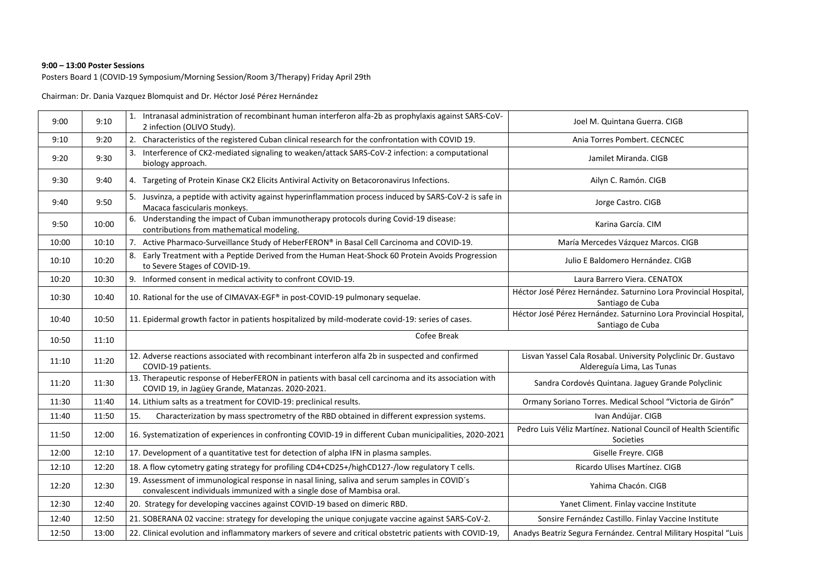#### **9:00 – 13:00 Poster Sessions**

Posters Board 1 (COVID-19 Symposium/Morning Session/Room 3/Therapy) Friday April 29th

Chairman: Dr. Dania Vazquez Blomquist and Dr. Héctor José Pérez Hernández

| 9:00  | 9:10  | 1. Intranasal administration of recombinant human interferon alfa-2b as prophylaxis against SARS-CoV-<br>2 infection (OLIVO Study).                                     | Joel M. Quintana Guerra. CIGB                                                               |
|-------|-------|-------------------------------------------------------------------------------------------------------------------------------------------------------------------------|---------------------------------------------------------------------------------------------|
| 9:10  | 9:20  | 2. Characteristics of the registered Cuban clinical research for the confrontation with COVID 19.                                                                       | Ania Torres Pombert. CECNCEC                                                                |
| 9:20  | 9:30  | 3. Interference of CK2-mediated signaling to weaken/attack SARS-CoV-2 infection: a computational<br>biology approach.                                                   | Jamilet Miranda. CIGB                                                                       |
| 9:30  | 9:40  | 4. Targeting of Protein Kinase CK2 Elicits Antiviral Activity on Betacoronavirus Infections.                                                                            | Ailyn C. Ramón. CIGB                                                                        |
| 9:40  | 9:50  | 5. Jusvinza, a peptide with activity against hyperinflammation process induced by SARS-CoV-2 is safe in<br>Macaca fascicularis monkeys.                                 | Jorge Castro. CIGB                                                                          |
| 9:50  | 10:00 | 6. Understanding the impact of Cuban immunotherapy protocols during Covid-19 disease:<br>contributions from mathematical modeling.                                      | Karina García. CIM                                                                          |
| 10:00 | 10:10 | 7. Active Pharmaco-Surveillance Study of HeberFERON® in Basal Cell Carcinoma and COVID-19.                                                                              | María Mercedes Vázquez Marcos. CIGB                                                         |
| 10:10 | 10:20 | 8. Early Treatment with a Peptide Derived from the Human Heat-Shock 60 Protein Avoids Progression<br>to Severe Stages of COVID-19.                                      | Julio E Baldomero Hernández. CIGB                                                           |
| 10:20 | 10:30 | 9. Informed consent in medical activity to confront COVID-19.                                                                                                           | Laura Barrero Viera. CENATOX                                                                |
| 10:30 | 10:40 | 10. Rational for the use of CIMAVAX-EGF® in post-COVID-19 pulmonary sequelae.                                                                                           | Héctor José Pérez Hernández. Saturnino Lora Provincial Hospital,<br>Santiago de Cuba        |
| 10:40 | 10:50 | 11. Epidermal growth factor in patients hospitalized by mild-moderate covid-19: series of cases.                                                                        | Héctor José Pérez Hernández. Saturnino Lora Provincial Hospital,<br>Santiago de Cuba        |
| 10:50 | 11:10 | Cofee Break                                                                                                                                                             |                                                                                             |
| 11:10 | 11:20 | 12. Adverse reactions associated with recombinant interferon alfa 2b in suspected and confirmed<br>COVID-19 patients.                                                   | Lisvan Yassel Cala Rosabal. University Polyclinic Dr. Gustavo<br>Aldereguía Lima, Las Tunas |
| 11:20 |       |                                                                                                                                                                         |                                                                                             |
|       | 11:30 | 13. Therapeutic response of HeberFERON in patients with basal cell carcinoma and its association with<br>COVID 19, in Jagüey Grande, Matanzas. 2020-2021.               | Sandra Cordovés Quintana. Jaguey Grande Polyclinic                                          |
| 11:30 | 11:40 | 14. Lithium salts as a treatment for COVID-19: preclinical results.                                                                                                     | Ormany Soriano Torres. Medical School "Victoria de Girón"                                   |
| 11:40 | 11:50 | Characterization by mass spectrometry of the RBD obtained in different expression systems.<br>15.                                                                       | Ivan Andújar. CIGB                                                                          |
| 11:50 | 12:00 | 16. Systematization of experiences in confronting COVID-19 in different Cuban municipalities, 2020-2021                                                                 | Pedro Luis Véliz Martínez. National Council of Health Scientific<br>Societies               |
| 12:00 | 12:10 | 17. Development of a quantitative test for detection of alpha IFN in plasma samples.                                                                                    | Giselle Freyre. CIGB                                                                        |
| 12:10 | 12:20 | 18. A flow cytometry gating strategy for profiling CD4+CD25+/highCD127-/low regulatory T cells.                                                                         | Ricardo Ulises Martínez. CIGB                                                               |
| 12:20 | 12:30 | 19. Assessment of immunological response in nasal lining, saliva and serum samples in COVID's<br>convalescent individuals immunized with a single dose of Mambisa oral. | Yahima Chacón. CIGB                                                                         |
| 12:30 | 12:40 | 20. Strategy for developing vaccines against COVID-19 based on dimeric RBD.                                                                                             | Yanet Climent. Finlay vaccine Institute                                                     |
| 12:40 | 12:50 | 21. SOBERANA 02 vaccine: strategy for developing the unique conjugate vaccine against SARS-CoV-2.                                                                       | Sonsire Fernández Castillo. Finlay Vaccine Institute                                        |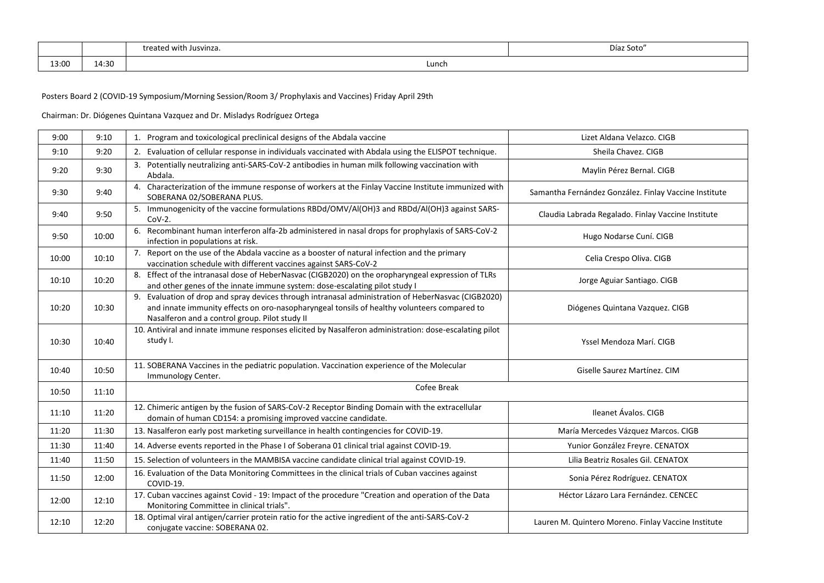|       |       | treated with Jusvinza. | Díaz Soto' |
|-------|-------|------------------------|------------|
| 13:00 | 14:30 | Lunch                  |            |

Posters Board 2 (COVID-19 Symposium/Morning Session/Room 3/ Prophylaxis and Vaccines) Friday April 29th

Chairman: Dr. Diógenes Quintana Vazquez and Dr. Misladys Rodríguez Ortega

| 9:00  | 9:10  | 1. Program and toxicological preclinical designs of the Abdala vaccine                                                                                                                                                                               | Lizet Aldana Velazco, CIGB                            |
|-------|-------|------------------------------------------------------------------------------------------------------------------------------------------------------------------------------------------------------------------------------------------------------|-------------------------------------------------------|
| 9:10  | 9:20  | 2. Evaluation of cellular response in individuals vaccinated with Abdala using the ELISPOT technique.                                                                                                                                                | Sheila Chavez, CIGB                                   |
| 9:20  | 9:30  | 3. Potentially neutralizing anti-SARS-CoV-2 antibodies in human milk following vaccination with<br>Abdala.                                                                                                                                           | Maylin Pérez Bernal. CIGB                             |
| 9:30  | 9:40  | 4. Characterization of the immune response of workers at the Finlay Vaccine Institute immunized with<br>SOBERANA 02/SOBERANA PLUS.                                                                                                                   | Samantha Fernández González. Finlay Vaccine Institute |
| 9:40  | 9:50  | 5. Immunogenicity of the vaccine formulations RBDd/OMV/Al(OH)3 and RBDd/Al(OH)3 against SARS-<br>$Cov-2$ .                                                                                                                                           | Claudia Labrada Regalado. Finlay Vaccine Institute    |
| 9:50  | 10:00 | Recombinant human interferon alfa-2b administered in nasal drops for prophylaxis of SARS-CoV-2<br>6.<br>infection in populations at risk.                                                                                                            | Hugo Nodarse Cuní. CIGB                               |
| 10:00 | 10:10 | 7. Report on the use of the Abdala vaccine as a booster of natural infection and the primary<br>vaccination schedule with different vaccines against SARS-CoV-2                                                                                      | Celia Crespo Oliva. CIGB                              |
| 10:10 | 10:20 | 8. Effect of the intranasal dose of HeberNasvac (CIGB2020) on the oropharyngeal expression of TLRs<br>and other genes of the innate immune system: dose-escalating pilot study I                                                                     | Jorge Aguiar Santiago. CIGB                           |
| 10:20 | 10:30 | 9. Evaluation of drop and spray devices through intranasal administration of HeberNasvac (CIGB2020)<br>and innate immunity effects on oro-nasopharyngeal tonsils of healthy volunteers compared to<br>Nasalferon and a control group. Pilot study II | Diógenes Quintana Vazquez. CIGB                       |
| 10:30 | 10:40 | 10. Antiviral and innate immune responses elicited by Nasalferon administration: dose-escalating pilot<br>study I.                                                                                                                                   | Yssel Mendoza Marí. CIGB                              |
| 10:40 | 10:50 | 11. SOBERANA Vaccines in the pediatric population. Vaccination experience of the Molecular<br>Immunology Center.                                                                                                                                     | Giselle Saurez Martínez. CIM                          |
| 10:50 | 11:10 | Cofee Break                                                                                                                                                                                                                                          |                                                       |
| 11:10 | 11:20 | 12. Chimeric antigen by the fusion of SARS-CoV-2 Receptor Binding Domain with the extracellular<br>domain of human CD154: a promising improved vaccine candidate.                                                                                    | Ileanet Ávalos. CIGB                                  |
| 11:20 | 11:30 | 13. Nasalferon early post marketing surveillance in health contingencies for COVID-19.                                                                                                                                                               | María Mercedes Vázquez Marcos. CIGB                   |
| 11:30 | 11:40 | 14. Adverse events reported in the Phase I of Soberana 01 clinical trial against COVID-19.                                                                                                                                                           | Yunior González Freyre. CENATOX                       |
| 11:40 | 11:50 | 15. Selection of volunteers in the MAMBISA vaccine candidate clinical trial against COVID-19.                                                                                                                                                        | Lilia Beatriz Rosales Gil, CENATOX                    |
| 11:50 | 12:00 | 16. Evaluation of the Data Monitoring Committees in the clinical trials of Cuban vaccines against<br>COVID-19.                                                                                                                                       | Sonia Pérez Rodríguez. CENATOX                        |
| 12:00 | 12:10 | 17. Cuban vaccines against Covid - 19: Impact of the procedure "Creation and operation of the Data<br>Monitoring Committee in clinical trials".                                                                                                      | Héctor Lázaro Lara Fernández. CENCEC                  |
| 12:10 | 12:20 | 18. Optimal viral antigen/carrier protein ratio for the active ingredient of the anti-SARS-CoV-2<br>conjugate vaccine: SOBERANA 02.                                                                                                                  | Lauren M. Quintero Moreno. Finlay Vaccine Institute   |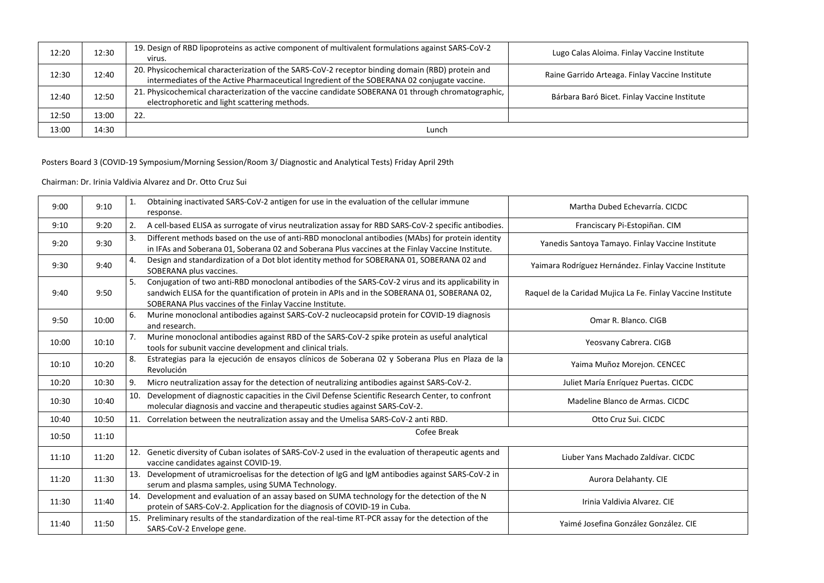| 12:20 | 12:30 | 19. Design of RBD lipoproteins as active component of multivalent formulations against SARS-CoV-2<br>virus.                                                                                     | Lugo Calas Aloima. Finlay Vaccine Institute     |
|-------|-------|-------------------------------------------------------------------------------------------------------------------------------------------------------------------------------------------------|-------------------------------------------------|
| 12:30 | 12:40 | 20. Physicochemical characterization of the SARS-CoV-2 receptor binding domain (RBD) protein and<br>intermediates of the Active Pharmaceutical Ingredient of the SOBERANA 02 conjugate vaccine. | Raine Garrido Arteaga. Finlay Vaccine Institute |
| 12:40 | 12:50 | 21. Physicochemical characterization of the vaccine candidate SOBERANA 01 through chromatographic,<br>electrophoretic and light scattering methods.                                             | Bárbara Baró Bicet. Finlay Vaccine Institute    |
| 12:50 | 13:00 | 22.                                                                                                                                                                                             |                                                 |
| 13:00 | 14:30 | Lunch                                                                                                                                                                                           |                                                 |

# Posters Board 3 (COVID-19 Symposium/Morning Session/Room 3/ Diagnostic and Analytical Tests) Friday April 29th

### Chairman: Dr. Irinia Valdivia Alvarez and Dr. Otto Cruz Sui

| 9:00  | 9:10  | 1.  | Obtaining inactivated SARS-CoV-2 antigen for use in the evaluation of the cellular immune<br>response.                                                                                                                                                         | Martha Dubed Echevarría. CICDC                              |
|-------|-------|-----|----------------------------------------------------------------------------------------------------------------------------------------------------------------------------------------------------------------------------------------------------------------|-------------------------------------------------------------|
| 9:10  | 9:20  | 2.  | A cell-based ELISA as surrogate of virus neutralization assay for RBD SARS-CoV-2 specific antibodies.                                                                                                                                                          | Franciscary Pi-Estopiñan. CIM                               |
| 9:20  | 9:30  | 3.  | Different methods based on the use of anti-RBD monoclonal antibodies (MAbs) for protein identity<br>in IFAs and Soberana 01, Soberana 02 and Soberana Plus vaccines at the Finlay Vaccine Institute.                                                           | Yanedis Santoya Tamayo. Finlay Vaccine Institute            |
| 9:30  | 9:40  | 4.  | Design and standardization of a Dot blot identity method for SOBERANA 01, SOBERANA 02 and<br>SOBERANA plus vaccines.                                                                                                                                           | Yaimara Rodríguez Hernández. Finlay Vaccine Institute       |
| 9:40  | 9:50  | 5.  | Conjugation of two anti-RBD monoclonal antibodies of the SARS-CoV-2 virus and its applicability in<br>sandwich ELISA for the quantification of protein in APIs and in the SOBERANA 01, SOBERANA 02,<br>SOBERANA Plus vaccines of the Finlay Vaccine Institute. | Raquel de la Caridad Mujica La Fe. Finlay Vaccine Institute |
| 9:50  | 10:00 | 6.  | Murine monoclonal antibodies against SARS-CoV-2 nucleocapsid protein for COVID-19 diagnosis<br>and research.                                                                                                                                                   | Omar R. Blanco, CIGB                                        |
| 10:00 | 10:10 | 7.  | Murine monoclonal antibodies against RBD of the SARS-CoV-2 spike protein as useful analytical<br>tools for subunit vaccine development and clinical trials.                                                                                                    | Yeosvany Cabrera. CIGB                                      |
| 10:10 | 10:20 | 8.  | Estrategias para la ejecución de ensayos clínicos de Soberana 02 y Soberana Plus en Plaza de la<br>Revolución                                                                                                                                                  | Yaima Muñoz Morejon. CENCEC                                 |
| 10:20 | 10:30 | 9.  | Micro neutralization assay for the detection of neutralizing antibodies against SARS-CoV-2.                                                                                                                                                                    | Juliet María Enríquez Puertas. CICDC                        |
| 10:30 | 10:40 | 10. | Development of diagnostic capacities in the Civil Defense Scientific Research Center, to confront<br>molecular diagnosis and vaccine and therapeutic studies against SARS-CoV-2.                                                                               | Madeline Blanco de Armas. CICDC                             |
| 10:40 | 10:50 | 11. | Correlation between the neutralization assay and the Umelisa SARS-CoV-2 anti RBD.                                                                                                                                                                              | Otto Cruz Sui, CICDC                                        |
| 10:50 | 11:10 |     | Cofee Break                                                                                                                                                                                                                                                    |                                                             |
| 11:10 | 11:20 | 12. | Genetic diversity of Cuban isolates of SARS-CoV-2 used in the evaluation of therapeutic agents and<br>vaccine candidates against COVID-19.                                                                                                                     | Liuber Yans Machado Zaldívar, CICDC                         |
| 11:20 | 11:30 | 13. | Development of utramicroelisas for the detection of IgG and IgM antibodies against SARS-CoV-2 in<br>serum and plasma samples, using SUMA Technology.                                                                                                           | Aurora Delahanty. CIE                                       |
| 11:30 | 11:40 | 14. | Development and evaluation of an assay based on SUMA technology for the detection of the N<br>protein of SARS-CoV-2. Application for the diagnosis of COVID-19 in Cuba.                                                                                        | Irinia Valdivia Alvarez. CIE                                |
| 11:40 | 11:50 | 15. | Preliminary results of the standardization of the real-time RT-PCR assay for the detection of the<br>SARS-CoV-2 Envelope gene.                                                                                                                                 | Yaimé Josefina González González. CIE                       |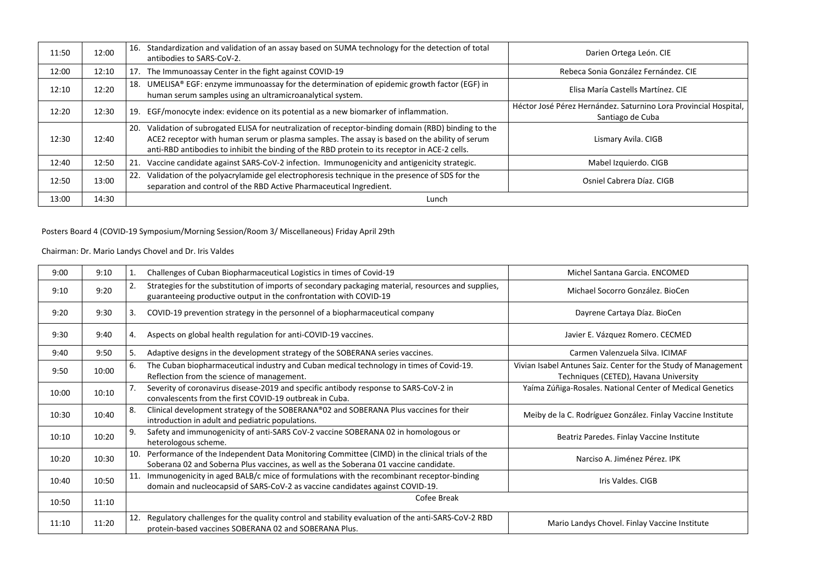| 11:50 | 12:00 | Standardization and validation of an assay based on SUMA technology for the detection of total<br>16.<br>antibodies to SARS-CoV-2.                                                                                                                                                                        | Darien Ortega León. CIE                                                              |
|-------|-------|-----------------------------------------------------------------------------------------------------------------------------------------------------------------------------------------------------------------------------------------------------------------------------------------------------------|--------------------------------------------------------------------------------------|
| 12:00 | 12:10 | The Immunoassay Center in the fight against COVID-19<br>17.                                                                                                                                                                                                                                               | Rebeca Sonia González Fernández. CIE                                                 |
| 12:10 | 12:20 | UMELISA® EGF: enzyme immunoassay for the determination of epidemic growth factor (EGF) in<br>18.<br>human serum samples using an ultramicroanalytical system.                                                                                                                                             | Elisa María Castells Martínez. CIE                                                   |
| 12:20 | 12:30 | EGF/monocyte index: evidence on its potential as a new biomarker of inflammation.<br>19.                                                                                                                                                                                                                  | Héctor José Pérez Hernández. Saturnino Lora Provincial Hospital,<br>Santiago de Cuba |
| 12:30 | 12:40 | Validation of subrogated ELISA for neutralization of receptor-binding domain (RBD) binding to the<br>20.<br>ACE2 receptor with human serum or plasma samples. The assay is based on the ability of serum<br>anti-RBD antibodies to inhibit the binding of the RBD protein to its receptor in ACE-2 cells. | Lismary Avila. CIGB                                                                  |
| 12:40 | 12:50 | Vaccine candidate against SARS-CoV-2 infection. Immunogenicity and antigenicity strategic.<br>21.                                                                                                                                                                                                         | Mabel Izquierdo. CIGB                                                                |
| 12:50 | 13:00 | Validation of the polyacrylamide gel electrophoresis technique in the presence of SDS for the<br>22.<br>separation and control of the RBD Active Pharmaceutical Ingredient.                                                                                                                               | Osniel Cabrera Díaz, CIGB                                                            |
| 13:00 | 14:30 | Lunch                                                                                                                                                                                                                                                                                                     |                                                                                      |

# Posters Board 4 (COVID-19 Symposium/Morning Session/Room 3/ Miscellaneous) Friday April 29th

# Chairman: Dr. Mario Landys Chovel and Dr. Iris Valdes

| 9:00  | 9:10  |     | Challenges of Cuban Biopharmaceutical Logistics in times of Covid-19                                                                                                                  | Michel Santana Garcia, ENCOMED                                                                          |  |
|-------|-------|-----|---------------------------------------------------------------------------------------------------------------------------------------------------------------------------------------|---------------------------------------------------------------------------------------------------------|--|
| 9:10  | 9:20  | 2.  | Strategies for the substitution of imports of secondary packaging material, resources and supplies,<br>guaranteeing productive output in the confrontation with COVID-19              | Michael Socorro González, BioCen                                                                        |  |
| 9:20  | 9:30  | 3.  | COVID-19 prevention strategy in the personnel of a biopharmaceutical company                                                                                                          | Dayrene Cartaya Díaz. BioCen                                                                            |  |
| 9:30  | 9:40  | 4.  | Aspects on global health regulation for anti-COVID-19 vaccines.                                                                                                                       | Javier E. Vázquez Romero. CECMED                                                                        |  |
| 9:40  | 9:50  | 5.  | Adaptive designs in the development strategy of the SOBERANA series vaccines.                                                                                                         | Carmen Valenzuela Silva, ICIMAF                                                                         |  |
| 9:50  | 10:00 | 6.  | The Cuban biopharmaceutical industry and Cuban medical technology in times of Covid-19.<br>Reflection from the science of management.                                                 | Vivian Isabel Antunes Saiz. Center for the Study of Management<br>Techniques (CETED), Havana University |  |
| 10:00 | 10:10 | 7.  | Severity of coronavirus disease-2019 and specific antibody response to SARS-CoV-2 in<br>convalescents from the first COVID-19 outbreak in Cuba.                                       | Yaíma Zúñiga-Rosales. National Center of Medical Genetics                                               |  |
| 10:30 | 10:40 | 8.  | Clinical development strategy of the SOBERANA®02 and SOBERANA Plus vaccines for their<br>introduction in adult and pediatric populations.                                             | Meiby de la C. Rodríguez González. Finlay Vaccine Institute                                             |  |
| 10:10 | 10:20 | 9.  | Safety and immunogenicity of anti-SARS CoV-2 vaccine SOBERANA 02 in homologous or<br>heterologous scheme.                                                                             | Beatriz Paredes. Finlay Vaccine Institute                                                               |  |
| 10:20 | 10:30 | 10. | Performance of the Independent Data Monitoring Committee (CIMD) in the clinical trials of the<br>Soberana 02 and Soberna Plus vaccines, as well as the Soberana 01 vaccine candidate. | Narciso A. Jiménez Pérez. IPK                                                                           |  |
| 10:40 | 10:50 | 11. | Immunogenicity in aged BALB/c mice of formulations with the recombinant receptor-binding<br>domain and nucleocapsid of SARS-CoV-2 as vaccine candidates against COVID-19.             | Iris Valdes. CIGB                                                                                       |  |
| 10:50 | 11:10 |     | Cofee Break                                                                                                                                                                           |                                                                                                         |  |
| 11:10 | 11:20 | 12. | Regulatory challenges for the quality control and stability evaluation of the anti-SARS-CoV-2 RBD<br>protein-based vaccines SOBERANA 02 and SOBERANA Plus.                            | Mario Landys Chovel. Finlay Vaccine Institute                                                           |  |